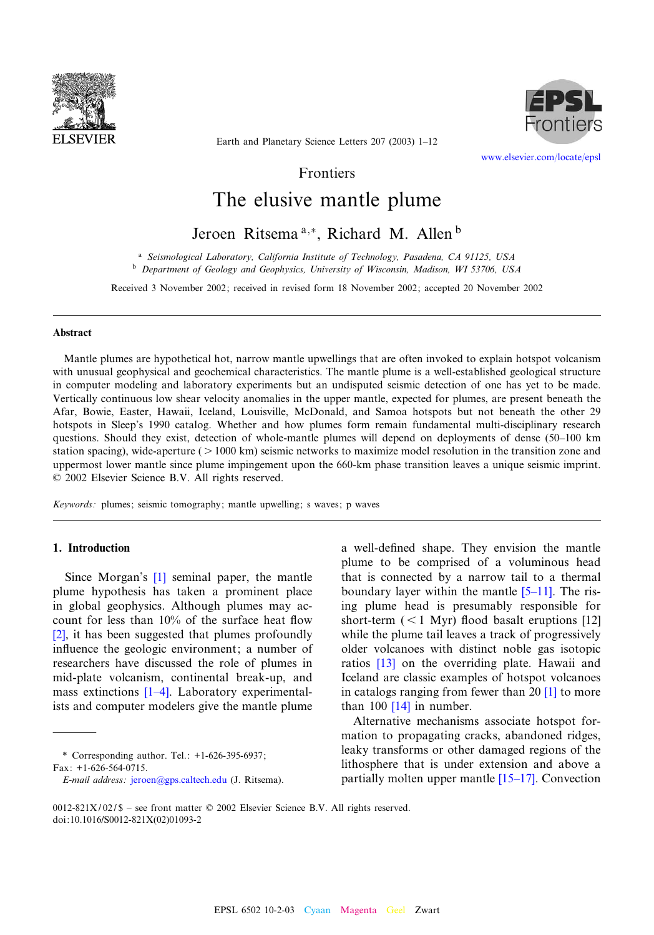



Earth and Planetary Science Letters 207 (2003) 1-12

www.elsevier.com/locate/epsl

Frontiers

# The elusive mantle plume

# Jeroen Ritsema<sup>a,\*</sup>, Richard M. Allen<sup>b</sup>

<sup>a</sup> Seismological Laboratory, California Institute of Technology, Pasadena, CA 91125, USA <sup>b</sup> Department of Geology and Geophysics, University of Wisconsin, Madison, WI 53706, USA

Received 3 November 2002; received in revised form 18 November 2002; accepted 20 November 2002

#### Abstract

Mantle plumes are hypothetical hot, narrow mantle upwellings that are often invoked to explain hotspot volcanism with unusual geophysical and geochemical characteristics. The mantle plume is a well-established geological structure in computer modeling and laboratory experiments but an undisputed seismic detection of one has yet to be made. Vertically continuous low shear velocity anomalies in the upper mantle, expected for plumes, are present beneath the Afar, Bowie, Easter, Hawaii, Iceland, Louisville, McDonald, and Samoa hotspots but not beneath the other 29 hotspots in Sleep's 1990 catalog. Whether and how plumes form remain fundamental multi-disciplinary research questions. Should they exist, detection of whole-mantle plumes will depend on deployments of dense (50-100 km station spacing), wide-aperture ( $> 1000$  km) seismic networks to maximize model resolution in the transition zone and uppermost lower mantle since plume impingement upon the 660-km phase transition leaves a unique seismic imprint.  $© 2002 Elsevier Science B.V. All rights reserved.$ 

Keywords: plumes; seismic tomography; mantle upwelling; s waves; p waves

# 1. Introduction

Since Morgan's [1] seminal paper, the mantle plume hypothesis has taken a prominent place [in](#page-9-0) global geophysics. Although plumes may account for less than  $10\%$  of the surface heat flow [2], it has been suggested that plumes profoundly influence the geologic environment; a number of researchers have [discu](#page-9-0)ssed the role of plumes in mid-plate volcanism, continental break-up, and mass extinctions  $[1-4]$ . Laboratory experimentalists and computer modelers give the mantle plume

\* Correspondin[g author. Tel.: +1-626-3](mailto:jeroen@gps.caltech.edu)95-6937; Fax: +1-626-564-0715.

a well-defined shape. They envision the mantle plume to be comprised of a vo[lumino](#page-9-0)us head that is connected by a narrow tail to a thermal boundary layer within the mantle  $[5-11]$ . The [ris](#page-10-0)ing plume head is presumably responsible for short-term  $(< 1$  Myr) flood basalt eruptions [12] while t[he p](#page-10-0)lume tail leaves a track of progressively older volcanoes with distinct noble gas isotopic ratios [13] on the overriding plate. [Haw](#page-9-0)aii and Iceland a[re cl](#page-10-0)assic examples of hotspot volcanoes in catalogs ranging from fewer than 20 [1] to more than  $100$  [14] in number.

Alternative mechanisms associate hotspot formation to propagating cracks, abandoned ridges, leaky transforms or other da[maged re](#page-10-0)gions of the lithosphere that is under extension and above a partially molten upper mantle  $[15–17]$ . Convection

E-mail address: jeroen@gps.caltech.edu (J. Ritsema).

<sup>0012-821</sup>X/02/\$ - see front matter  $\odot$  2002 Elsevier Science B.V. All rights reserved. doi:10.1016/S0012-821X(02)01093-2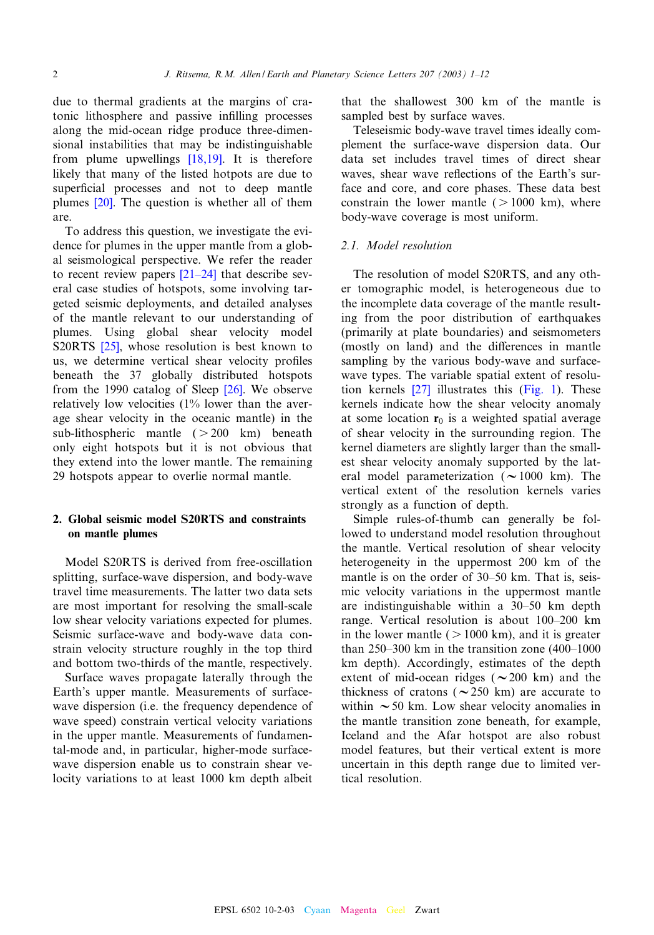due to thermal gradients at the margins of cratonic lithosphere and passive in¢lling processes along the mid-ocean ridg[e prod](#page-10-0)uce three-dimensional instabilities that may be indistinguishable from plume upwellings [18,19]. It is therefore likely t[hat m](#page-10-0)any of the listed hotpots are due to superficial processes and not to deep mantle plumes [20]. The question is whether all of them are.

To address this question, we investigate the evidence for plumes in the [upper m](#page-10-0)antle from a global seismological perspective. We refer the reader to recent review papers  $[21-24]$  that describe several case studies of hotspots, some involving targeted seismic deployments, and detailed analyses of the [mantl](#page-10-0)e relevant to our understanding of plumes. Using global shear velocity model S20RTS [25], whose resolution is best known to us, we determine vertical shear [vel](#page-10-0)ocity profiles beneath the 37 globally distributed hotspots from the 1990 catalog of Sleep [26]. We observe relatively low velocities (1% lower than the average shear velocity in the oceanic mantle) in the sub-lithospheric mantle  $( > 200 \text{ km})$  beneath only eight hotspots but it is not obvious that they extend into the lower mantle. The remaining 29 hotspots appear to overlie normal mantle.

# 2. Global seismic model S20RTS and constraints on mantle plumes

Model S20RTS is derived from free-oscillation splitting, surface-wave dispersion, and body-wave travel time measurements. The latter two data sets are most important for resolving the small-scale low shear velocity variations expected for plumes. Seismic surface-wave and body-wave data constrain velocity structure roughly in the top third and bottom two-thirds of the mantle, respectively.

Surface waves propagate laterally through the Earth's upper mantle. Measurements of surfacewave dispersion (i.e. the frequency dependence of wave speed) constrain vertical velocity variations in the upper mantle. Measurements of fundamental-mode and, in particular, higher-mode surfacewave dispersion enable us to constrain shear velocity variations to at least 1000 km depth albeit that the shallowest 300 km of the mantle is sampled best by surface waves.

Teleseismic body-wave travel times ideally complement the surface-wave dispersion data. Our data set includes travel times of direct shear waves, shear wave reflections of the Earth's surface and core, and core phases. These data best constrain the lower mantle  $( > 1000 \text{ km})$ , where body-wave coverage is most uniform.

#### 2.1. Model resolution

The resolution of model S20RTS, and any other tomographic model, is heterogeneous due to the incomplete data coverage of the mantle resulting from the poor distribution of earthquakes (primarily at plate boundaries) and seismometers (mostly on land) and the differences in mantle sampling by [the](#page-10-0) various body-wa[ve and](#page-2-0) surfacewave types. The variable spatial extent of resolution kernels [27] illustrates this (Fig. 1). These kernels indicate how the shear velocity anomaly at some location  $r_0$  is a weighted spatial average of shear velocity in the surrounding region. The kernel diameters are slightly larger than the smallest shear velocity anomaly supported by the lateral model parameterization ( $\sim$ 1000 km). The vertical extent of the resolution kernels varies strongly as a function of depth.

Simple rules-of-thumb can generally be followed to understand model resolution throughout the mantle. Vertical resolution of shear velocity heterogeneity in the uppermost 200 km of the mantle is on the order of 30–50 km. That is, seismic velocity variations in the uppermost mantle are indistinguishable within a 30-50 km depth range. Vertical resolution is about 100^200 km in the lower mantle  $($  > 1000 km), and it is greater than  $250-300$  km in the transition zone (400-1000 km depth). Accordingly, estimates of the depth extent of mid-ocean ridges ( $\sim$ 200 km) and the thickness of cratons ( $\sim$ 250 km) are accurate to within  $\sim$  50 km. Low shear velocity anomalies in the mantle transition zone beneath, for example, Iceland and the Afar hotspot are also robust model features, but their vertical extent is more uncertain in this depth range due to limited vertical resolution.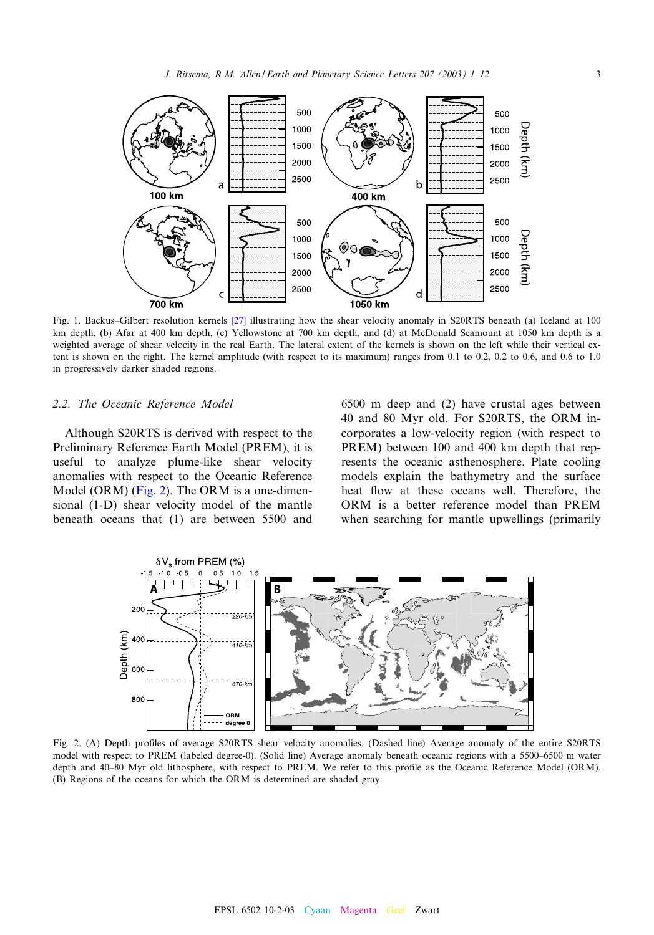<span id="page-2-0"></span>

Fig. 1. Backus–Gilbert resolution kernels [27] illustrating how the shear velocity anomaly in S20RTS beneath (a) Iceland at 100 km depth, (b) Afar at 400 km depth, (c) Yellowstone at 700 km depth, and (d) at McDonald Seamount at 1050 km depth is a weighted average of shear velocity in the real Earth. The lateral extent of the kernels is shown on the left while their vertical extent is shown on the right. The kernel amplitude (with respect to its maximum) ranges from  $0.1$  to  $0.2$ ,  $0.2$  to  $0.6$ , and  $0.6$  to  $1.0$ in progressively darker shaded regions.

#### 2.2. The Oceanic Reference Model

Although S20RTS is derived with respect to the Preliminary Reference Earth Model (PREM), it is useful to analyze plume-like shear velocity anomalies with respect to the Oceanic Reference Model (ORM) (Fig. 2). The ORM is a one-dimensional (1-D) shear velocity model of the mantle beneath oceans that (1) are between 5500 and

6500 m deep and (2) have crustal ages between 40 and 80 Myr old. For S20RTS, the ORM incorporates a low-velocity region (with respect to PREM) between 100 and 400 km depth that represents the oceanic asthenosphere. Plate cooling models explain the bathymetry and the surface heat flow at these oceans well. Therefore, the ORM is a better reference model than PREM when searching for mantle upwellings (primarily



Fig. 2. (A) Depth profiles of average S20RTS shear velocity anomalies. (Dashed line) Average anomaly of the entire S20RTS model with respect to PREM (labeled degree-0). (Solid line) Average anomaly beneath oceanic regions with a 5500-6500 m water depth and 40-80 Myr old lithosphere, with respect to PREM. We refer to this profile as the Oceanic Reference Model (ORM). (B) Regions of the oceans for which the ORM is determined are shaded gray.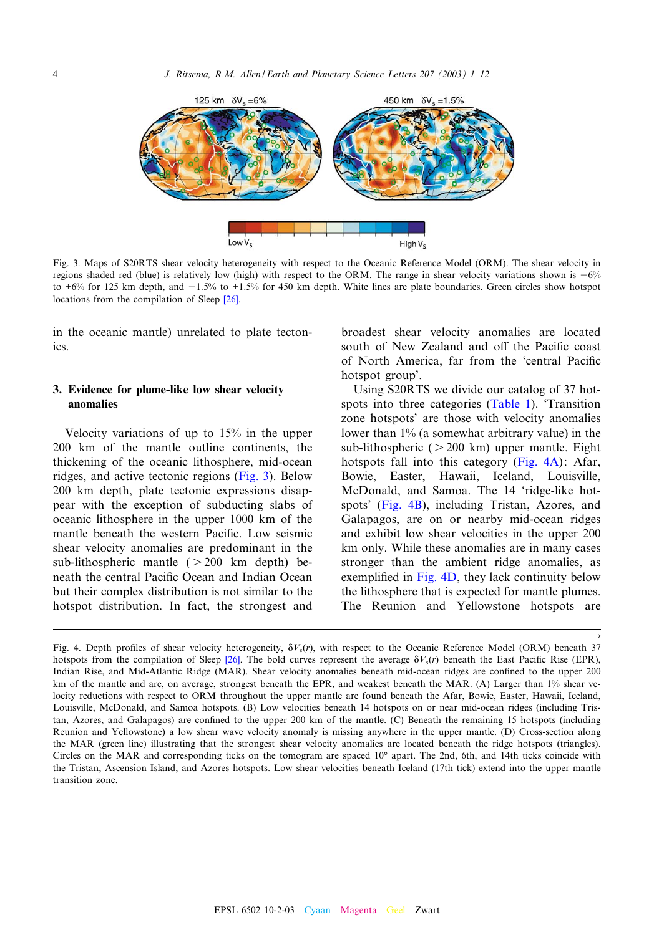<span id="page-3-0"></span>

Fig. 3. Maps of S20RTS shear velocity heterogeneity with respect to the Oceanic Reference Model (ORM). The shear velocity in regions shaded red (blue) is relatively lo[w \(h](#page-10-0)igh) with respect to the ORM. The range in shear velocity variations shown is  $-6\%$ to  $+6\%$  for 125 km depth, and  $-1.5\%$  to  $+1.5\%$  for 450 km depth. White lines are plate boundaries. Green circles show hotspot locations from the compilation of Sleep [26].

in the oceanic mantle) unrelated to plate tectonics.

# 3. Evidence for plume-like lowshear velocity anomalies

Velocity variations of up to 15% in the upper 200 km of the mantle outline continents, the thickening of the oceanic lithosphere, mid-ocean ridges, and active tectonic regions (Fig. 3). Below 200 km depth, plate tectonic expressions disappear with the exception of subducting slabs of oceanic lithosphere in the upper 1000 km of the mantle beneath the western Pacific. Low seismic shear velocity anomalies are predominant in the sub-lithospheric mantle  $( > 200 \text{ km depth})$  beneath the central Pacific Ocean and Indian Ocean but their complex distribution is not similar to the hotspot distribution. In fact, the strongest and broadest shear velocity anomalies are located south of New Zealand and off the Pacific coast of North America, far from the 'central Pacific hotspot group'.

Using S20RTS we divide [our](#page-5-0) [catal](#page-5-0)og of 37 hotspots into three categories (Table 1). 'Transition zone hotspots' are those with velocity anomalies lower than 1% (a somewhat arbitrary value) in the sub-lithospheric  $( > 200 \text{ km})$  upper mantle. Eight hotspots fall into this category (Fig. 4A): Afar, Bowie, Easter, Hawaii, Iceland, Louisville, McDonald, and Samoa. The 14 'ridge-like hotspots' (Fig. 4B), including Tristan, Azores, and Galapagos, are on or nearby mid-ocean ridges and exhibit low shear velocities in the upper 200 km only. While these anomalies are in many cases stronger than the ambient ridge anomalies, as exemplified in Fig.  $4D$ , they lack continuity below the lithosphere that is expected for mantle plumes. The Reunion and Yellowstone hotspots are

 $\rightarrow$ 

Fig. 4. Depth profiles of shear velocity heterogeneity,  $\delta V_s(r)$ , with respect to the Oceanic Reference Model (ORM) beneath 37 hotspots from the compilation of Sleep [26]. The bold curves represent the average  $\delta V_s(r)$  beneath the East Pacific Rise (EPR), Indian Rise, and Mid-Atlantic Ridge (MAR). Shear velocity anomalies beneath mid-ocean ridges are confined to the upper 200 km of the mantle and are, on average, strongest beneath the EPR, and weakest beneath the MAR. (A) Larger than 1% shear velocity reductions with respect to ORM throughout the upper mantle are found beneath the Afar, Bowie, Easter, Hawaii, Iceland, Louisville, McDonald, and Samoa hotspots. (B) Low velocities beneath 14 hotspots on or near mid-ocean ridges (including Tristan, Azores, and Galapagos) are confined to the upper 200 km of the mantle. (C) Beneath the remaining 15 hotspots (including Reunion and Yellowstone) a low shear wave velocity anomaly is missing anywhere in the upper mantle. (D) Cross-section along the MAR (green line) illustrating that the strongest shear velocity anomalies are located beneath the ridge hotspots (triangles). Circles on the MAR and corresponding ticks on the tomogram are spaced  $10^{\circ}$  apart. The 2nd, 6th, and 14th ticks coincide with the Tristan, Ascension Island, and Azores hotspots. Low shear velocities beneath Iceland (17th tick) extend into the upper mantle transition zone.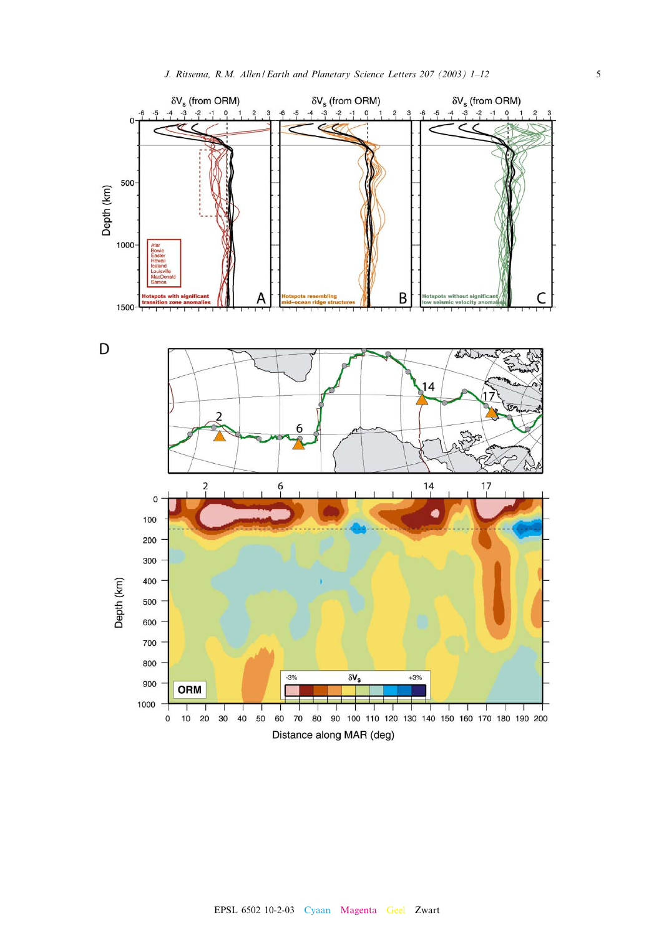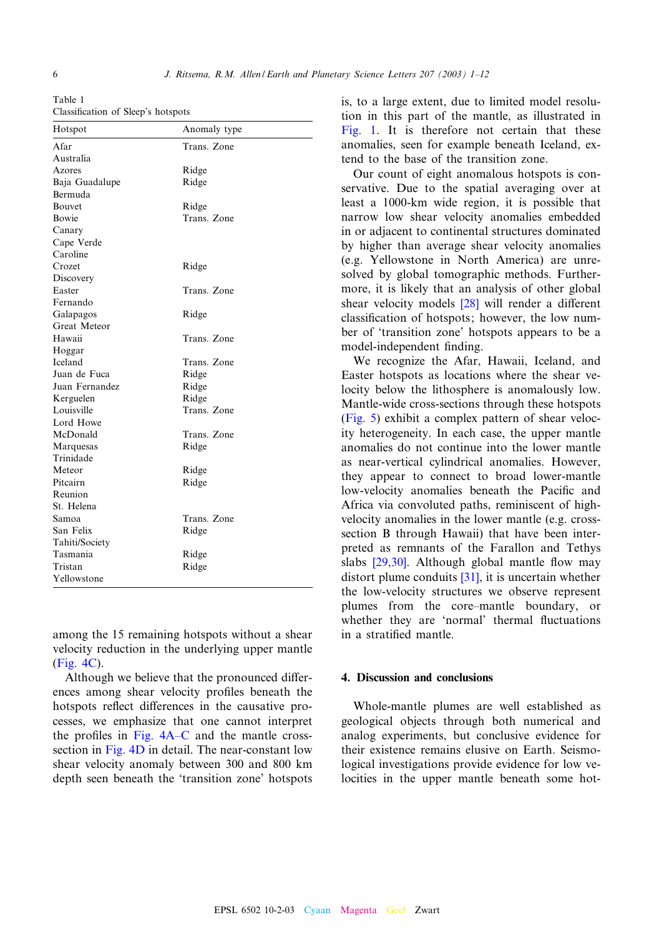<span id="page-5-0"></span>Table 1 Classification of Sleep's hotspots

| Hotspot        | Anomaly type |
|----------------|--------------|
| Afar           | Trans. Zone  |
| Australia      |              |
| Azores         | Ridge        |
| Baja Guadalupe | Ridge        |
| Bermuda        |              |
| Bouvet         | Ridge        |
| Bowie          | Trans. Zone  |
| Canary         |              |
| Cape Verde     |              |
| Caroline       |              |
| Crozet         | Ridge        |
| Discovery      |              |
| Easter         | Trans. Zone  |
| Fernando       |              |
| Galapagos      | Ridge        |
| Great Meteor   |              |
| Hawaii         | Trans. Zone  |
| Hoggar         |              |
| Iceland        | Trans. Zone  |
| Juan de Fuca   | Ridge        |
| Juan Fernandez | Ridge        |
| Kerguelen      | Ridge        |
| Louisville     | Trans. Zone  |
| Lord Howe      |              |
| McDonald       | Trans. Zone  |
| Marquesas      | Ridge        |
| Trinidade      |              |
| Meteor         | Ridge        |
| Pitcairn       | Ridge        |
| Reunion        |              |
| St. Helena     |              |
| Samoa          | Trans. Zone  |
| San Felix      | Ridge        |
| Tahiti/Society |              |
| Tasmania       | Ridge        |
| Tristan        | Ridge        |
| Yellowstone    |              |

[among th](#page-3-0)e 15 remaining hotspots without a shear velocity reduction in the underlying upper mantle (Fig. 4C).

Although we believe that the pronounced differences among shear velocity profiles beneath the hotspots reflect differences in the causative processes, w[e empha](#page-3-0)size that one cannot interpret the profiles in Fig.  $4A-C$  and the mantle crosssection in Fig. 4D in detail. The near-constant low shear velocity anomaly between 300 and 800 km depth seen beneath the 'transition zone' hotspots

[is, to a](#page-2-0) large extent, due to limited model resolution in this part of the mantle, as illustrated in Fig. 1. It is therefore not certain that these anomalies, seen for example beneath Iceland, extend to the base of the transition zone.

Our count of eight anomalous hotspots is conservative. Due to the spatial averaging over at least a 1000-km wide region, it is possible that narrow low shear velocity anomalies embedded in or adjacent to continental structures dominated by higher than average shear velocity anomalies (e.g. Yellowstone in North America) are unresolved by global tom[ograp](#page-10-0)hic methods. Furthermore, it is likely that an analysis of other global shear velocity models  $[28]$  will render a different classification of hotspots; however, the low number of 'transition zone' hotspots appears to be a model-independent finding.

We recognize the Afar, Hawaii, Iceland, and Easter hotspots as locations where the shear vel[ocity b](#page-6-0)elow the lithosphere is anomalously low. Mantle-wide cross-sections through these hotspots (Fig. 5) exhibit a complex pattern of shear velocity heterogeneity. In each case, the upper mantle anomalies do not continue into the lower mantle as near-vertical cylindrical anomalies. However, they appear to connect to broad lower-mantle low-velocity anomalies beneath the Pacific and Africa via convoluted paths, reminiscent of highvelocity anomalies in the lower mantle (e.g. crosssectio[n B th](#page-10-0)rough Hawaii) that have been interpreted as remnants o[f the](#page-10-0) Farallon and Tethys slabs  $[29,30]$ . Although global mantle flow may distort plume conduits [31], it is uncertain whether the low-velocity structures we observe represent plumes from the core-mantle boundary, or whether they are 'normal' thermal fluctuations in a stratified mantle.

#### 4. Discussion and conclusions

Whole-mantle plumes are well established as geological objects through both numerical and analog experiments, but conclusive evidence for their existence remains elusive on Earth. Seismological investigations provide evidence for low velocities in the upper mantle beneath some hot-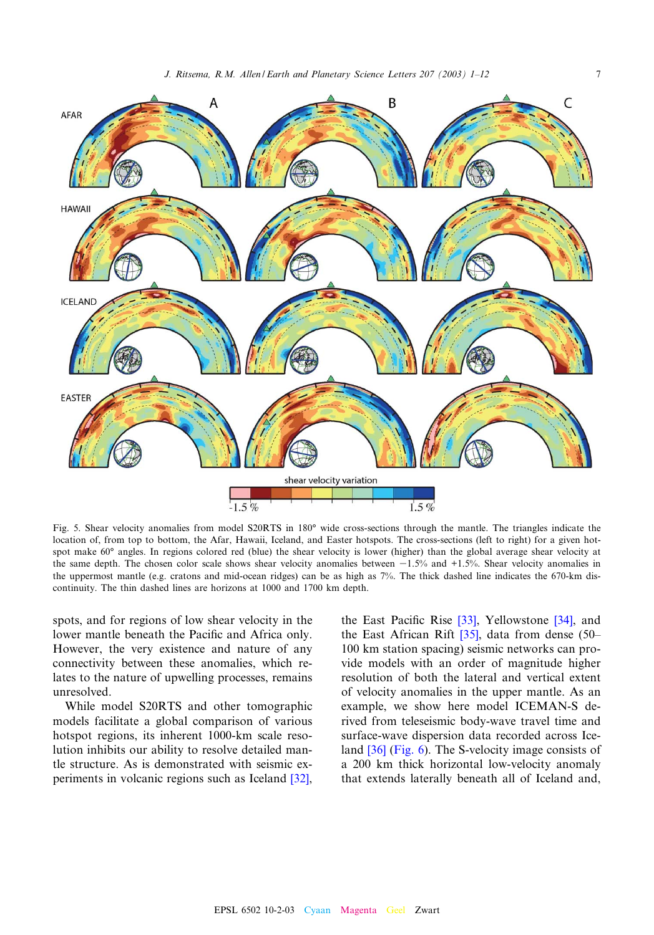<span id="page-6-0"></span>

Fig. 5. Shear velocity anomalies from model S20RTS in 180° wide cross-sections through the mantle. The triangles indicate the location of, from top to bottom, the Afar, Hawaii, Iceland, and Easter hotspots. The cross-sections (left to right) for a given hotspot make 60° angles. In regions colored red (blue) the shear velocity is lower (higher) than the global average shear velocity at the same depth. The chosen color scale shows shear velocity anomalies between  $-1.5%$  and  $+1.5%$ . Shear velocity anomalies in the uppermost mantle (e.g. cratons and mid-ocean ridges) can be as high as 7%. The thick dashed line indicates the 670-km discontinuity. The thin dashed lines are horizons at 1000 and 1700 km depth.

spots, and for regions of low shear velocity in the lower mantle beneath the Pacific and Africa only. However, the very existence and nature of any connectivity between these anomalies, which relates to the nature of upwelling processes, remains unresolved.

While model S20RTS and other tomographic models facilitate a global comparison of various hotspot regions, its inherent 1000-km scale resolution inhibits our ability to resolve detailed [man](#page-10-0)tle structure. As is demonstrated with seismic experiments in volcanic regions such as Iceland [32],

the East Pacific Rise  $[33]$ , Yellowstone  $[34]$ , and the East African Rift  $[35]$ , data from dense (50– 100 km station spacing) seismic networks can provide models with an order of magnitude higher resolution of both the lateral and vertical extent of velocity anomalies in the upper mantle. As an example, we show here model ICEMAN-S derived [fro](#page-10-0)[m telese](#page-7-0)ismic body-wave travel time and surface-wave dispersion data recorded across Iceland [36] (Fig. 6). The S-velocity image consists of a 200 km thick horizontal low-velocity anomaly that extends laterally beneath all of Iceland and,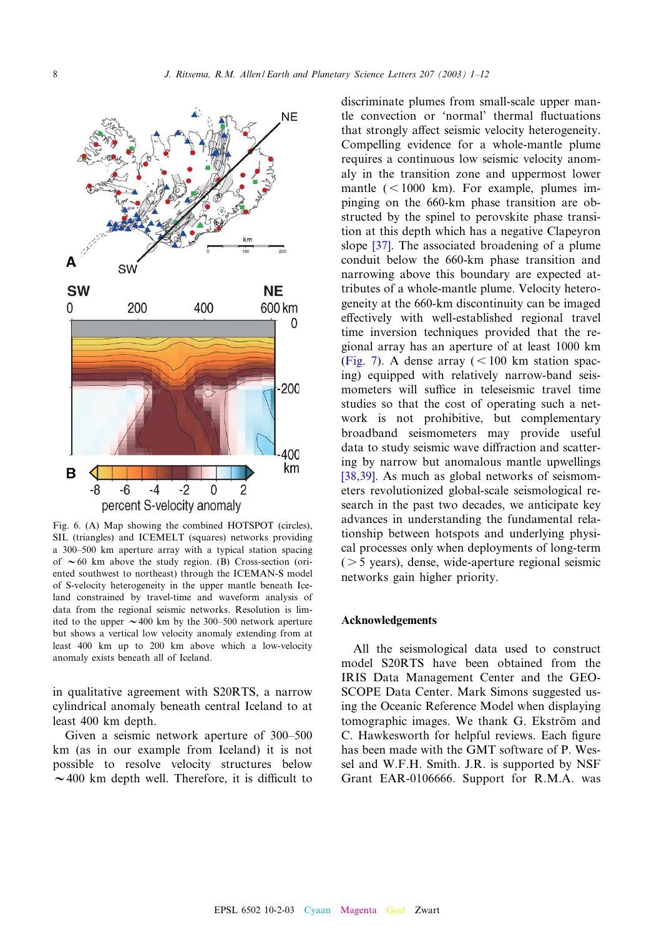<span id="page-7-0"></span>

Fig. 6. (A) Map showing the combined HOTSPOT (circles), SIL (triangles) and ICEMELT (squares) networks providing a 300–500 km aperture array with a typical station spacing of  $\sim 60$  km above the study region. (B) Cross-section (oriented southwest to northeast) through the ICEMAN-S model of S-velocity heterogeneity in the upper mantle beneath Iceland constrained by travel-time and waveform analysis of data from the regional seismic networks. Resolution is limited to the upper  $\sim$  400 km by the 300-500 network aperture but shows a vertical low velocity anomaly extending from at least 400 km up to 200 km above which a low-velocity anomaly exists beneath all of Iceland.

in qualitative agreement with S20RTS, a narrow cylindrical anomaly beneath central Iceland to at least 400 km depth.

Given a seismic network aperture of 300–500 km (as in our example from Iceland) it is not possible to resolve velocity structures below  $\sim$  400 km depth well. Therefore, it is difficult to

discriminate plumes from small-scale upper mantle convection or 'normal' thermal fluctuations that strongly affect seismic velocity heterogeneity. Compelling evidence for a whole-mantle plume requires a continuous low seismic velocity anomaly in the transition zone and uppermost lower mantle  $(< 1000 \text{ km})$ . For example, plumes impinging on the 660-km phase transition are obstruct[ed b](#page-10-0)y the spinel to perovskite phase transition at this depth which has a negative Clapeyron slope [37]. The associated broadening of a plume conduit below the 660-km phase transition and narrowing above this boundary are expected attributes of a whole-mantle plume. Velocity heterogeneity at the 660-km discontinuity can be imaged effectively with well-established regional travel [time in](#page-8-0)version techniques provided that the regional array has an aperture of at least 1000 km (Fig. 7). A dense array  $(< 100$  km station spacing) equipped with relatively narrow-band seismometers will suffice in teleseismic travel time studies so that the cost of operating such a network is not prohibitive, but complementary broadband seismometers may provide useful [data to](#page-10-0) study seismic wave diffraction and scattering by narrow but anomalous mantle upwellings [38,39]. As much as global networks of seismometers revolutionized global-scale seismological research in the past two decades, we anticipate key advances in understanding the fundamental relationship between hotspots and underlying physical processes only when deployments of long-term  $($  > 5 years), dense, wide-aperture regional seismic networks gain higher priority.

#### Acknowledgements

All the seismological data used to construct model S20RTS have been obtained from the IRIS Data Management Center and the GEO-SCOPE Data Center. Mark Simons suggested using the Oceanic Reference Model when displaying tomographic images. We thank G. Ekström and C. Hawkesworth for helpful reviews. Each figure has been made with the GMT software of P. Wessel and W.F.H. Smith. J.R. is supported by NSF Grant EAR-0106666. Support for R.M.A. was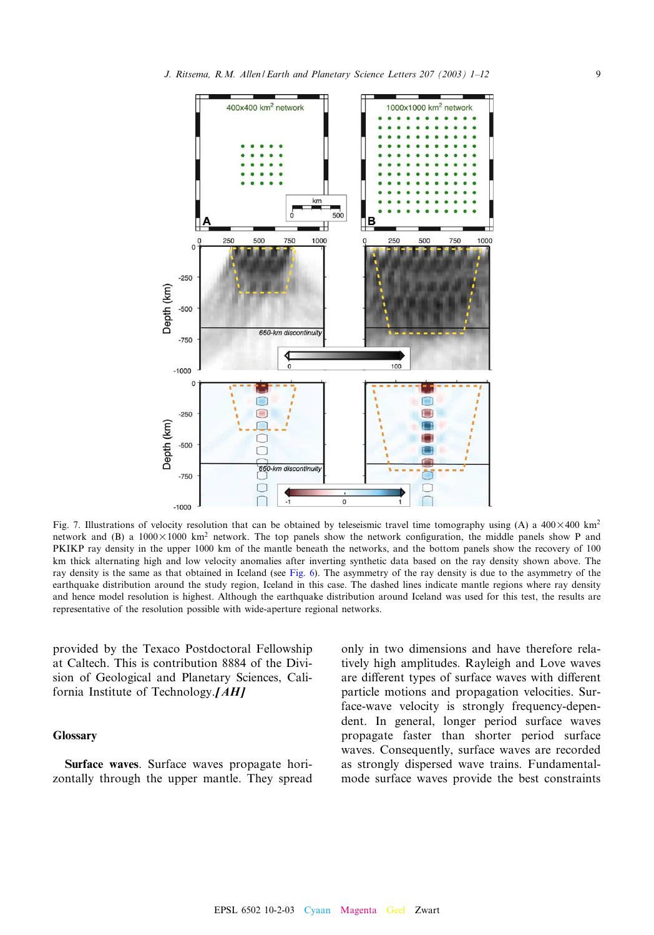<span id="page-8-0"></span>

Fig. 7. Illustrations of velocity resolution that can be obtained by teleseismic travel time tomography using (A) a  $400\times400$  km<sup>2</sup> network and (B) a  $1000 \times 1000$  km<sup>2</sup> network. The top panels show the network configuration, the middle panels show P and PKIKP ray density in the upper 1000 km of the mantl[e bene](#page-7-0)ath the networks, and the bottom panels show the recovery of 100 km thick alternating high and low velocity anomalies after inverting synthetic data based on the ray density shown above. The ray density is the same as that obtained in Iceland (see Fig. 6). The asymmetry of the ray density is due to the asymmetry of the earthquake distribution around the study region, Iceland in this case. The dashed lines indicate mantle regions where ray density and hence model resolution is highest. Although the earthquake distribution around Iceland was used for this test, the results are representative of the resolution possible with wide-aperture regional networks.

provided by the Texaco Postdoctoral Fellowship at Caltech. This is contribution 8884 of the Division of Geological and Planetary Sciences, California Institute of Technology.[AH]

#### Glossary

Surface waves. Surface waves propagate horizontally through the upper mantle. They spread only in two dimensions and have therefore relatively high amplitudes. Rayleigh and Love waves are different types of surface waves with different particle motions and propagation velocities. Surface-wave velocity is strongly frequency-dependent. In general, longer period surface waves propagate faster than shorter period surface waves. Consequently, surface waves are recorded as strongly dispersed wave trains. Fundamentalmode surface waves provide the best constraints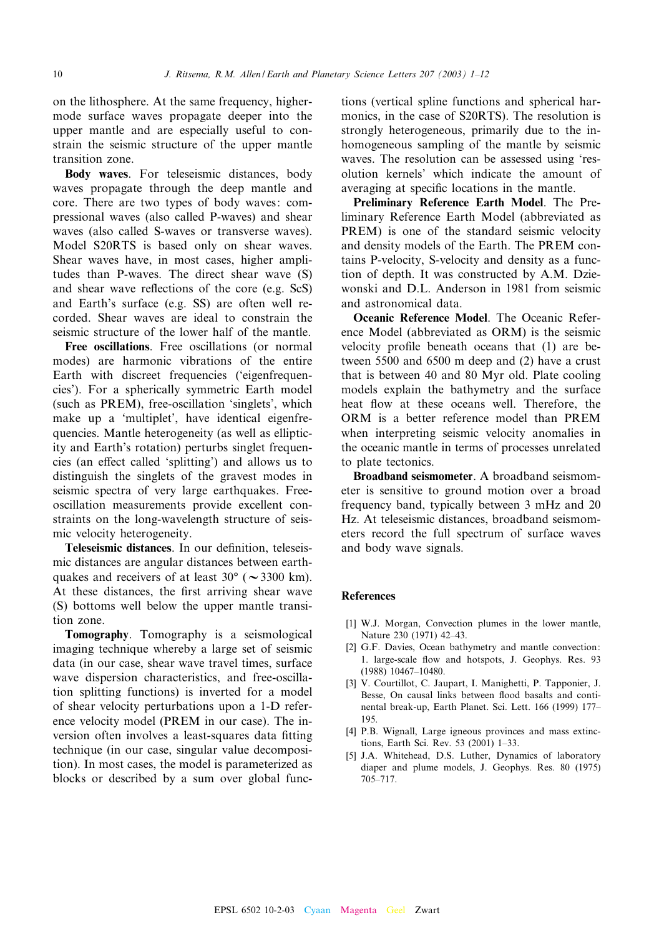<span id="page-9-0"></span>on the lithosphere. At the same frequency, highermode surface waves propagate deeper into the upper mantle and are especially useful to constrain the seismic structure of the upper mantle transition zone.

Body waves. For teleseismic distances, body waves propagate through the deep mantle and core. There are two types of body waves: compressional waves (also called P-waves) and shear waves (also called S-waves or transverse waves). Model S20RTS is based only on shear waves. Shear waves have, in most cases, higher amplitudes than P-waves. The direct shear wave (S) and shear wave reflections of the core (e.g. ScS) and Earth's surface (e.g. SS) are often well recorded. Shear waves are ideal to constrain the seismic structure of the lower half of the mantle.

Free oscillations. Free oscillations (or normal modes) are harmonic vibrations of the entire Earth with discreet frequencies ('eigenfrequencies'). For a spherically symmetric Earth model (such as PREM), free-oscillation 'singlets', which make up a 'multiplet', have identical eigenfrequencies. Mantle heterogeneity (as well as ellipticity and Earth's rotation) perturbs singlet frequencies (an effect called 'splitting') and allows us to distinguish the singlets of the gravest modes in seismic spectra of very large earthquakes. Freeoscillation measurements provide excellent constraints on the long-wavelength structure of seismic velocity heterogeneity.

Teleseismic distances. In our definition, teleseismic distances are angular distances between earthquakes and receivers of at least  $30^{\circ}$  ( $\sim$  3300 km). At these distances, the first arriving shear wave (S) bottoms well below the upper mantle transition zone.

Tomography. Tomography is a seismological imaging technique whereby a large set of seismic data (in our case, shear wave travel times, surface wave dispersion characteristics, and free-oscillation splitting functions) is inverted for a model of shear velocity perturbations upon a 1-D reference velocity model (PREM in our case). The inversion often involves a least-squares data fitting technique (in our case, singular value decomposition). In most cases, the model is parameterized as blocks or described by a sum over global functions (vertical spline functions and spherical harmonics, in the case of S20RTS). The resolution is strongly heterogeneous, primarily due to the inhomogeneous sampling of the mantle by seismic waves. The resolution can be assessed using 'resolution kernels' which indicate the amount of averaging at specific locations in the mantle.

Preliminary Reference Earth Model. The Preliminary Reference Earth Model (abbreviated as PREM) is one of the standard seismic velocity and density models of the Earth. The PREM contains P-velocity, S-velocity and density as a function of depth. It was constructed by A.M. Dziewonski and D.L. Anderson in 1981 from seismic and astronomical data.

Oceanic Reference Model. The Oceanic Reference Model (abbreviated as ORM) is the seismic velocity profile beneath oceans that (1) are between 5500 and 6500 m deep and (2) have a crust that is between 40 and 80 Myr old. Plate cooling models explain the bathymetry and the surface heat flow at these oceans well. Therefore, the ORM is a better reference model than PREM when interpreting seismic velocity anomalies in the oceanic mantle in terms of processes unrelated to plate tectonics.

Broadband seismometer. A broadband seismometer is sensitive to ground motion over a broad frequency band, typically between 3 mHz and 20 Hz. At teleseismic distances, broadband seismometers record the full spectrum of surface waves and body wave signals.

### References

- [1] W.J. Morgan, Convection plumes in the lower mantle, Nature 230 (1971) 42^43.
- [2] G.F. Davies, Ocean bathymetry and mantle convection: 1. large-scale flow and hotspots, J. Geophys. Res. 93 (1988) 10467-10480.
- [3] V. Courtillot, C. Jaupart, I. Manighetti, P. Tapponier, J. Besse, On causal links between flood basalts and continental break-up, Earth Planet. Sci. Lett. 166 (1999) 177^ 195.
- [4] P.B. Wignall, Large igneous provinces and mass extinctions, Earth Sci. Rev. 53 (2001) 1^33.
- [5] J.A. Whitehead, D.S. Luther, Dynamics of laboratory diaper and plume models, J. Geophys. Res. 80 (1975) 705^717.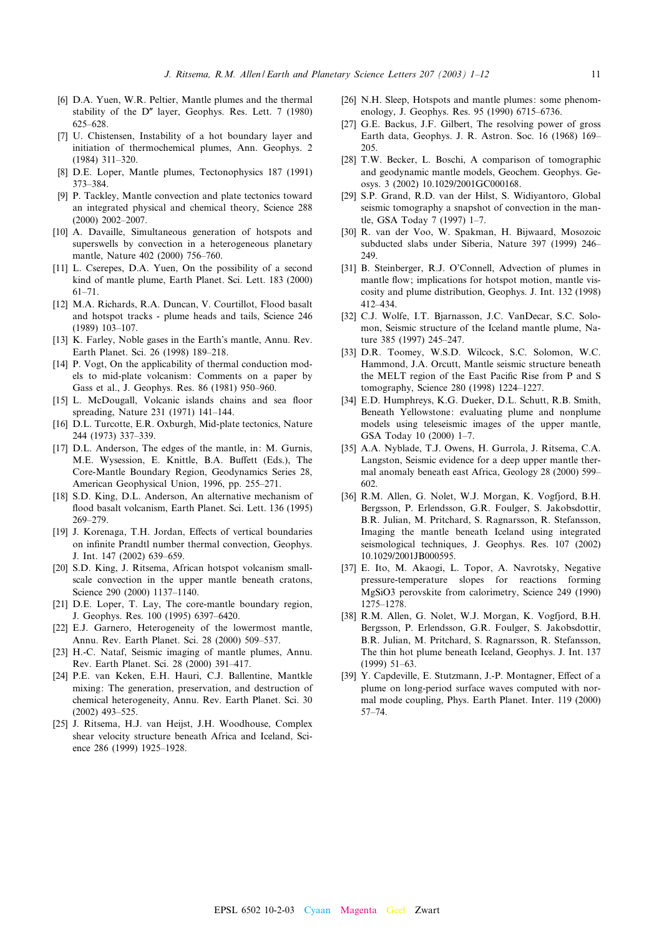- <span id="page-10-0"></span>[6] D.A. Yuen, W.R. Peltier, Mantle plumes and the thermal stability of the  $D''$  layer, Geophys. Res. Lett. 7 (1980) 625^628.
- [7] U. Chistensen, Instability of a hot boundary layer and initiation of thermochemical plumes, Ann. Geophys. 2  $(1984)$  311-320.
- [8] D.E. Loper, Mantle plumes, Tectonophysics 187 (1991) 373^384.
- [9] P. Tackley, Mantle convection and plate tectonics toward an integrated physical and chemical theory, Science 288  $(2000)$   $2002 - 2007$ .
- [10] A. Davaille, Simultaneous generation of hotspots and superswells by convection in a heterogeneous planetary mantle, Nature 402 (2000) 756-760.
- [11] L. Cserepes, D.A. Yuen, On the possibility of a second kind of mantle plume, Earth Planet. Sci. Lett. 183 (2000) 61^71.
- [12] M.A. Richards, R.A. Duncan, V. Courtillot, Flood basalt and hotspot tracks - plume heads and tails, Science 246 (1989) 103-107.
- [13] K. Farley, Noble gases in the Earth's mantle, Annu. Rev. Earth Planet. Sci. 26 (1998) 189-218.
- [14] P. Vogt, On the applicability of thermal conduction models to mid-plate volcanism: Comments on a paper by Gass et al., J. Geophys. Res. 86 (1981) 950^960.
- [15] L. McDougall, Volcanic islands chains and sea floor spreading, Nature 231 (1971) 141^144.
- [16] D.L. Turcotte, E.R. Oxburgh, Mid-plate tectonics, Nature 244 (1973) 337^339.
- [17] D.L. Anderson, The edges of the mantle, in: M. Gurnis, M.E. Wysession, E. Knittle, B.A. Buffett (Eds.), The Core-Mantle Boundary Region, Geodynamics Series 28, American Geophysical Union, 1996, pp. 255-271.
- [18] S.D. King, D.L. Anderson, An alternative mechanism of flood basalt volcanism, Earth Planet. Sci. Lett. 136 (1995) 269^279.
- [19] J. Korenaga, T.H. Jordan, Effects of vertical boundaries on in¢nite Prandtl number thermal convection, Geophys. J. Int. 147 (2002) 639^659.
- [20] S.D. King, J. Ritsema, African hotspot volcanism smallscale convection in the upper mantle beneath cratons, Science 290 (2000) 1137-1140.
- [21] D.E. Loper, T. Lay, The core-mantle boundary region, J. Geophys. Res. 100 (1995) 6397-6420.
- [22] E.J. Garnero, Heterogeneity of the lowermost mantle, Annu. Rev. Earth Planet. Sci. 28 (2000) 509^537.
- [23] H.-C. Nataf, Seismic imaging of mantle plumes, Annu. Rev. Earth Planet. Sci. 28 (2000) 391^417.
- [24] P.E. van Keken, E.H. Hauri, C.J. Ballentine, Mantkle mixing: The generation, preservation, and destruction of chemical heterogeneity, Annu. Rev. Earth Planet. Sci. 30  $(2002)$  493-525.
- [25] J. Ritsema, H.J. van Heijst, J.H. Woodhouse, Complex shear velocity structure beneath Africa and Iceland, Science 286 (1999) 1925-1928.
- [26] N.H. Sleep, Hotspots and mantle plumes: some phenomenology, J. Geophys. Res. 95 (1990) 6715^6736.
- [27] G.E. Backus, J.F. Gilbert, The resolving power of gross Earth data, Geophys. J. R. Astron. Soc. 16 (1968) 169^ 205.
- [28] T.W. Becker, L. Boschi, A comparison of tomographic and geodynamic mantle models, Geochem. Geophys. Geosys. 3 (2002) 10.1029/2001GC000168.
- [29] S.P. Grand, R.D. van der Hilst, S. Widiyantoro, Global seismic tomography a snapshot of convection in the mantle, GSA Today 7 (1997) 1^7.
- [30] R. van der Voo, W. Spakman, H. Bijwaard, Mosozoic subducted slabs under Siberia, Nature 397 (1999) 246^ 249.
- [31] B. Steinberger, R.J. O'Connell, Advection of plumes in mantle flow; implications for hotspot motion, mantle viscosity and plume distribution, Geophys. J. Int. 132 (1998) 412^434.
- [32] C.J. Wolfe, I.T. Bjarnasson, J.C. VanDecar, S.C. Solomon, Seismic structure of the Iceland mantle plume, Nature 385 (1997) 245-247.
- [33] D.R. Toomey, W.S.D. Wilcock, S.C. Solomon, W.C. Hammond, J.A. Orcutt, Mantle seismic structure beneath the MELT region of the East Pacific Rise from P and S tomography, Science 280 (1998) 1224^1227.
- [34] E.D. Humphreys, K.G. Dueker, D.L. Schutt, R.B. Smith, Beneath Yellowstone: evaluating plume and nonplume models using teleseismic images of the upper mantle, GSA Today 10 (2000) 1-7.
- [35] A.A. Nyblade, T.J. Owens, H. Gurrola, J. Ritsema, C.A. Langston, Seismic evidence for a deep upper mantle thermal anomaly beneath east Africa, Geology 28 (2000) 599^ 602.
- [36] R.M. Allen, G. Nolet, W.J. Morgan, K. Vogfjord, B.H. Bergsson, P. Erlendsson, G.R. Foulger, S. Jakobsdottir, B.R. Julian, M. Pritchard, S. Ragnarsson, R. Stefansson, Imaging the mantle beneath Iceland using integrated seismological techniques, J. Geophys. Res. 107 (2002) 10.1029/2001JB000595.
- [37] E. Ito, M. Akaogi, L. Topor, A. Navrotsky, Negative pressure-temperature slopes for reactions forming MgSiO3 perovskite from calorimetry, Science 249 (1990) 1275^1278.
- [38] R.M. Allen, G. Nolet, W.J. Morgan, K. Vogfjord, B.H. Bergsson, P. Erlendsson, G.R. Foulger, S. Jakobsdottir, B.R. Julian, M. Pritchard, S. Ragnarsson, R. Stefansson, The thin hot plume beneath Iceland, Geophys. J. Int. 137 (1999) 51^63.
- [39] Y. Capdeville, E. Stutzmann, J.-P. Montagner, Effect of a plume on long-period surface waves computed with normal mode coupling, Phys. Earth Planet. Inter. 119 (2000)  $57 - 74.$